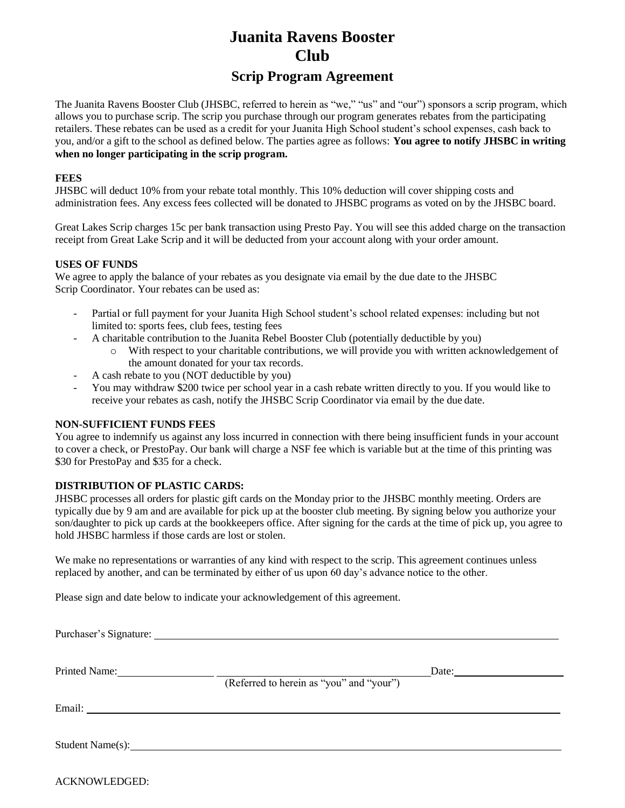# **Juanita Ravens Booster Club**

## **Scrip Program Agreement**

The Juanita Ravens Booster Club (JHSBC, referred to herein as "we," "us" and "our") sponsors a scrip program, which allows you to purchase scrip. The scrip you purchase through our program generates rebates from the participating retailers. These rebates can be used as a credit for your Juanita High School student's school expenses, cash back to you, and/or a gift to the school as defined below. The parties agree as follows: **You agree to notify JHSBC in writing when no longer participating in the scrip program.**

#### **FEES**

JHSBC will deduct 10% from your rebate total monthly. This 10% deduction will cover shipping costs and administration fees. Any excess fees collected will be donated to JHSBC programs as voted on by the JHSBC board.

Great Lakes Scrip charges 15c per bank transaction using Presto Pay. You will see this added charge on the transaction receipt from Great Lake Scrip and it will be deducted from your account along with your order amount.

#### **USES OF FUNDS**

We agree to apply the balance of your rebates as you designate via email by the due date to the JHSBC Scrip Coordinator. Your rebates can be used as:

- Partial or full payment for your Juanita High School student's school related expenses: including but not limited to: sports fees, club fees, testing fees
- A charitable contribution to the Juanita Rebel Booster Club (potentially deductible by you)
	- o With respect to your charitable contributions, we will provide you with written acknowledgement of the amount donated for your tax records.
- A cash rebate to you (NOT deductible by you)
- You may withdraw \$200 twice per school year in a cash rebate written directly to you. If you would like to receive your rebates as cash, notify the JHSBC Scrip Coordinator via email by the due date.

### **NON-SUFFICIENT FUNDS FEES**

You agree to indemnify us against any loss incurred in connection with there being insufficient funds in your account to cover a check, or PrestoPay. Our bank will charge a NSF fee which is variable but at the time of this printing was \$30 for PrestoPay and \$35 for a check.

#### **DISTRIBUTION OF PLASTIC CARDS:**

JHSBC processes all orders for plastic gift cards on the Monday prior to the JHSBC monthly meeting. Orders are typically due by 9 am and are available for pick up at the booster club meeting. By signing below you authorize your son/daughter to pick up cards at the bookkeepers office. After signing for the cards at the time of pick up, you agree to hold JHSBC harmless if those cards are lost or stolen.

We make no representations or warranties of any kind with respect to the scrip. This agreement continues unless replaced by another, and can be terminated by either of us upon 60 day's advance notice to the other.

Please sign and date below to indicate your acknowledgement of this agreement.

| Printed Name:    | (Referred to herein as "you" and "your")                                                                               | Date: |
|------------------|------------------------------------------------------------------------------------------------------------------------|-------|
| Email:           | <u> 1980 - Jan Samuel Barbara, margaret e populazion del control del control del control del control de la control</u> |       |
| Student Name(s): |                                                                                                                        |       |